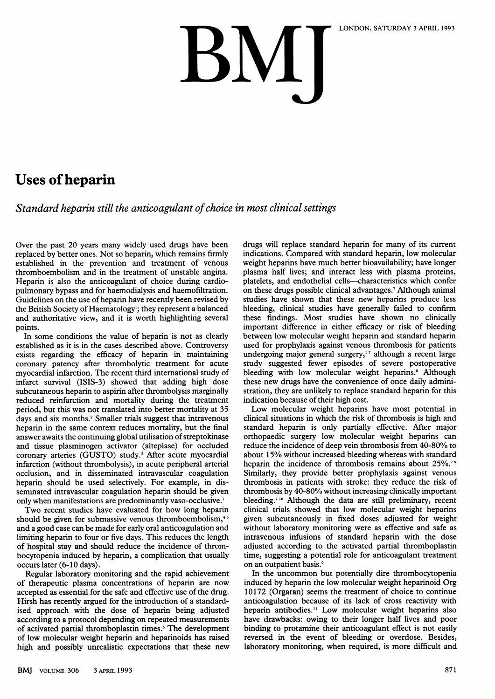## LONDON, SATURDAY 3 APRIL 1993

## Uses of heparin

Standard heparin still the anticoagulant of choice in most clinical settings

Over the past 20 years many widely used drugs have been replaced by better ones. Not so heparin, which remains firmly established in the prevention and treatment of venous thromboembolism and in the treatment of unstable angina. Heparin is also the anticoagulant of choice during cardiopulmonary bypass and for haemodialysis and haemofiltration. Guidelines on the use of heparin have recently been revised by the British Society of Haematology'; they represent a balanced and authoritative view, and it is worth highlighting several points.

In some conditions the value of heparin is not as clearly established as it is in the cases described above. Controversy exists regarding the efficacy of heparin in maintaining coronary patency after thrombolytic treatment for acute myocardial infarction. The recent third international study of infarct survival (ISIS-3) showed that adding high dose subcutaneous heparin to aspirin after thrombolysis marginally reduced reinfarction and mortality during the treatment period, but this was not translated into better mortality at 35 days and six months.<sup>2</sup> Smaller trials suggest that intravenous heparin in the same context reduces mortality, but the final answer awaits the continuing global utilisation of streptokinase and tissue plasminogen activator (alteplase) for occluded coronary arteries (GUSTO) study.<sup>3</sup> After acute myocardial infarction (without thrombolysis), in acute peripheral arterial occlusion, and in disseminated intravascular coagulation heparin should be used selectively. For example, in disseminated intravascular coagulation heparin should be given only when manifestations are predominantly vaso-occlusive.'

Two recent studies have evaluated for how long heparin should be given for submassive venous thromboembolism,<sup>45</sup> and a good case can be made for early oral anticoagulation and limiting heparin to four or five days. This reduces the length of hospital stay and should reduce the incidence of thrombocytopenia induced by heparin, a complication that usually occurs later (6-10 days).

Regular laboratory monitoring and the rapid achievement of therapeutic plasma concentrations of heparin are now accepted as essential for the safe and effective use of the drug. Hirsh has recently argued for the introduction of a standardised approach with the dose of heparin being adjusted according to a protocol depending on repeated measurements of activated partial thromboplastin times.<sup>6</sup> The development of low molecular weight heparin and heparinoids has raised high and possibly unrealistic expectations that these new

drugs will replace standard heparin for many of its current indications. Compared with standard heparin, low molecular weight heparins have much better bioavailability; have longer plasma half lives; and interact less with plasma proteins, platelets, and endothelial cells-characteristics which confer on these drugs possible clinical advantages.7 Although animal studies have shown that these new heparins produce less bleeding, clinical studies have generally failed to confirm these findings. Most studies have shown no clinically important difference in either efficacy or risk of bleeding between low molecular weight heparin and standard heparin used for prophylaxis against venous thrombosis for patients undergoing major general surgery,' <sup>7</sup> although a recent large study suggested fewer episodes of severe postoperative bleeding with low molecular weight heparins.<sup>8</sup> Although these new drugs have the convenience of once daily administration, they are unlikely to replace standard heparin for this indication because of their high cost.

Low molecular weight heparins have most potential in clinical situations in which the risk of thrombosis is high and standard heparin is only partially effective. After major orthopaedic surgery low molecular weight heparins can reduce the incidence of deep vein thrombosis from 40-80% to about 15% without increased bleeding whereas with standard heparin the incidence of thrombosis remains about 25%.<sup>79</sup> Similarly, they provide better prophylaxis against venous thrombosis in patients with stroke: they reduce the risk of thrombosis by 40-80% without increasing clinically important bleeding.<sup>710</sup> Although the data are still preliminary, recent clinical trials showed that low molecular weight heparins given subcutaneously in fixed doses adjusted for weight without laboratory monitoring were as effective and safe as intravenous infusions of standard heparin with the dose adjusted according to the activated partial thromboplastin time, suggesting a potential role for anticoagulant treatment on an outpatient basis.<sup>9</sup>

In the uncommon but potentially dire thrombocytopenia induced by heparin the low molecular weight heparinoid Org 10172 (Orgaran) seems the treatment of choice to continue anticoagulation because of its lack of cross reactivity with heparin antibodies." Low molecular weight heparins also have drawbacks: owing to their longer half lives and poor binding to protamine their anticoagulant effect is not easily reversed in the event of bleeding or overdose. Besides, laboratory monitoring, when required, is more difficult and